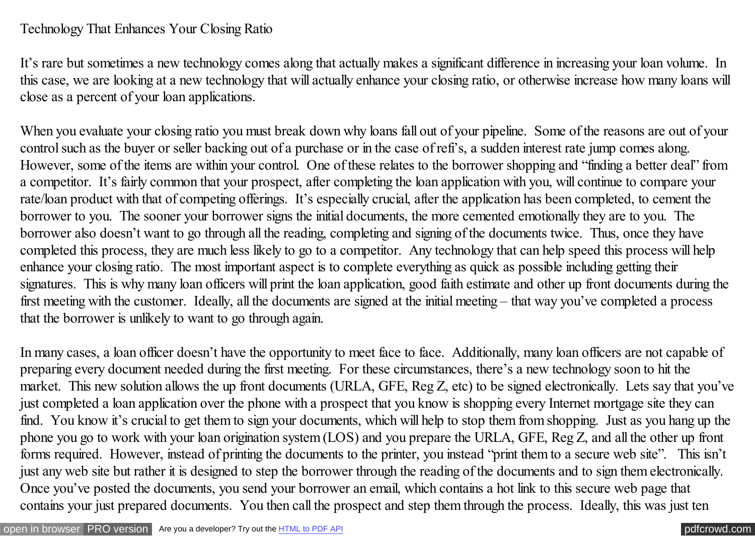## Technology That Enhances Your Closing Ratio

It's rare but sometimes a new technology comes along that actually makes a significant difference in increasing your loan volume. In this case, we are looking at a new technology that will actually enhance your closing ratio, or otherwise increase how many loans will close as a percent of your loan applications.

When you evaluate your closing ratio you must break down why loans fall out of your pipeline. Some of the reasons are out of your control such as the buyer or seller backing out of a purchase or in the case of refi's, a sudden interest rate jump comes along. However, some of the items are within your control. One of these relates to the borrower shopping and "finding a better deal" from a competitor. It's fairly common that your prospect, after completing the loan application with you, will continue to compare your rate/loan product with that of competing offerings. It's especially crucial, after the application has been completed, to cement the borrower to you. The sooner your borrower signs the initial documents, the more cemented emotionally they are to you. The borrower also doesn't want to go through all the reading, completing and signing of the documents twice. Thus, once they have completed this process, they are much less likely to go to a competitor. Any technology that can help speed this process will help enhance your closing ratio. The most important aspect is to complete everything as quick as possible including getting their signatures. This is why many loan officers will print the loan application, good faith estimate and other up front documents during the first meeting with the customer. Ideally, all the documents are signed at the initial meeting – that way you've completed a process that the borrower is unlikely to want to go through again.

In many cases, a loan officer doesn't have the opportunity to meet face to face. Additionally, many loan officers are not capable of preparing every document needed during the first meeting. For these circumstances, there's a new technology soon to hit the market. This new solution allows the up front documents (URLA, GFE, Reg Z, etc) to be signed electronically. Lets say that you've just completed a loan application over the phone with a prospect that you know is shopping every Internet mortgage site they can find. You know it's crucial to get them to sign your documents, which will help to stop them from shopping. Just as you hang up the phone you go to work with your loan origination system (LOS) and you prepare the URLA, GFE, Reg Z, and all the other up front forms required. However, instead of printing the documents to the printer, you instead "print them to a secure web site". This isn't just any web site but rather it is designed to step the borrower through the reading of the documents and to sign them electronically. Once you've posted the documents, you send your borrower an email, which contains a hot link to this secure web page that contains your just prepared documents. You then call the prospect and step them through the process. Ideally, this was just ten